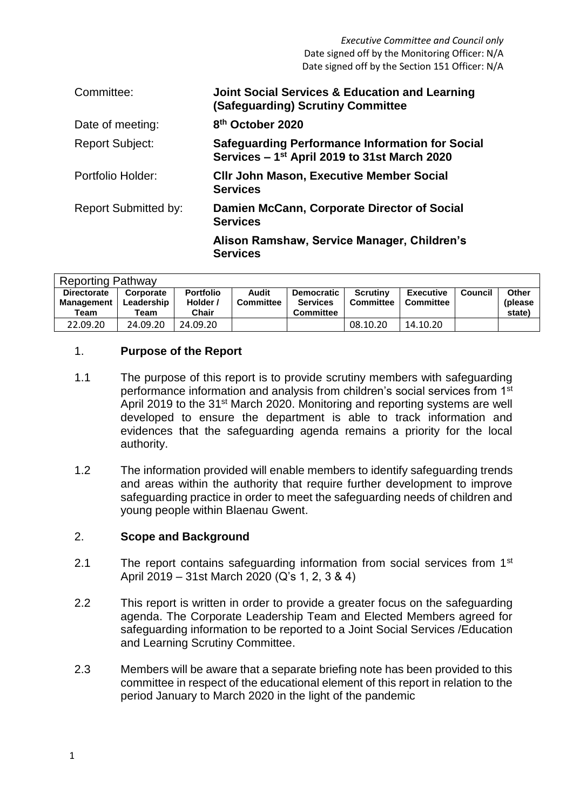| Committee:                  | <b>Joint Social Services &amp; Education and Learning</b><br>(Safeguarding) Scrutiny Committee                     |
|-----------------------------|--------------------------------------------------------------------------------------------------------------------|
| Date of meeting:            | 8 <sup>th</sup> October 2020                                                                                       |
| <b>Report Subject:</b>      | <b>Safeguarding Performance Information for Social</b><br>Services - 1 <sup>st</sup> April 2019 to 31st March 2020 |
| Portfolio Holder:           | <b>CIIr John Mason, Executive Member Social</b><br><b>Services</b>                                                 |
| <b>Report Submitted by:</b> | Damien McCann, Corporate Director of Social<br><b>Services</b>                                                     |
|                             | Alison Ramshaw, Service Manager, Children's<br><b>Services</b>                                                     |

| <b>Reporting Pathway</b>                        |                                 |                                       |                           |                                                          |                       |                               |         |                                    |  |  |
|-------------------------------------------------|---------------------------------|---------------------------------------|---------------------------|----------------------------------------------------------|-----------------------|-------------------------------|---------|------------------------------------|--|--|
| <b>Directorate</b><br><b>Management</b><br>Team | Corporate<br>Leadership<br>Геаm | <b>Portfolio</b><br>Holder /<br>Chair | Audit<br><b>Committee</b> | <b>Democratic</b><br><b>Services</b><br><b>Committee</b> | Scrutiny<br>Committee | <b>Executive</b><br>Committee | Council | <b>Other</b><br>(please)<br>state) |  |  |
| 22.09.20                                        | 24.09.20                        | 24.09.20                              |                           |                                                          | 08.10.20              | 14.10.20                      |         |                                    |  |  |

## 1. **Purpose of the Report**

- 1.1 The purpose of this report is to provide scrutiny members with safeguarding performance information and analysis from children's social services from 1<sup>st</sup> April 2019 to the 31<sup>st</sup> March 2020. Monitoring and reporting systems are well developed to ensure the department is able to track information and evidences that the safeguarding agenda remains a priority for the local authority.
- 1.2 The information provided will enable members to identify safeguarding trends and areas within the authority that require further development to improve safeguarding practice in order to meet the safeguarding needs of children and young people within Blaenau Gwent.

## 2. **Scope and Background**

- 2.1 The report contains safeguarding information from social services from 1<sup>st</sup> April 2019 – 31st March 2020 (Q's 1, 2, 3 & 4)
- 2.2 This report is written in order to provide a greater focus on the safeguarding agenda. The Corporate Leadership Team and Elected Members agreed for safeguarding information to be reported to a Joint Social Services /Education and Learning Scrutiny Committee.
- 2.3 Members will be aware that a separate briefing note has been provided to this committee in respect of the educational element of this report in relation to the period January to March 2020 in the light of the pandemic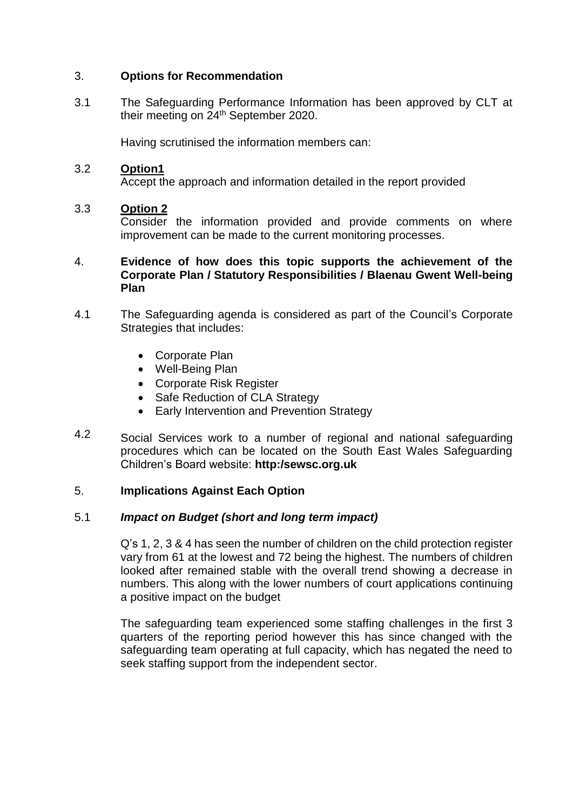#### 3. **Options for Recommendation**

3.1 The Safeguarding Performance Information has been approved by CLT at their meeting on 24th September 2020.

Having scrutinised the information members can:

#### 3.2 **Option1**

Accept the approach and information detailed in the report provided

#### 3.3 **Option 2**

Consider the information provided and provide comments on where improvement can be made to the current monitoring processes.

### 4. **Evidence of how does this topic supports the achievement of the Corporate Plan / Statutory Responsibilities / Blaenau Gwent Well-being Plan**

- 4.1 The Safeguarding agenda is considered as part of the Council's Corporate Strategies that includes:
	- Corporate Plan
	- Well-Being Plan
	- Corporate Risk Register
	- Safe Reduction of CLA Strategy
	- Early Intervention and Prevention Strategy
- 4.2 Social Services work to a number of regional and national safeguarding procedures which can be located on the South East Wales Safeguarding Children's Board website: **http:/sewsc.org.uk**

## 5. **Implications Against Each Option**

## 5.1 *Impact on Budget (short and long term impact)*

Q's 1, 2, 3 & 4 has seen the number of children on the child protection register vary from 61 at the lowest and 72 being the highest. The numbers of children looked after remained stable with the overall trend showing a decrease in numbers. This along with the lower numbers of court applications continuing a positive impact on the budget

The safeguarding team experienced some staffing challenges in the first 3 quarters of the reporting period however this has since changed with the safeguarding team operating at full capacity, which has negated the need to seek staffing support from the independent sector.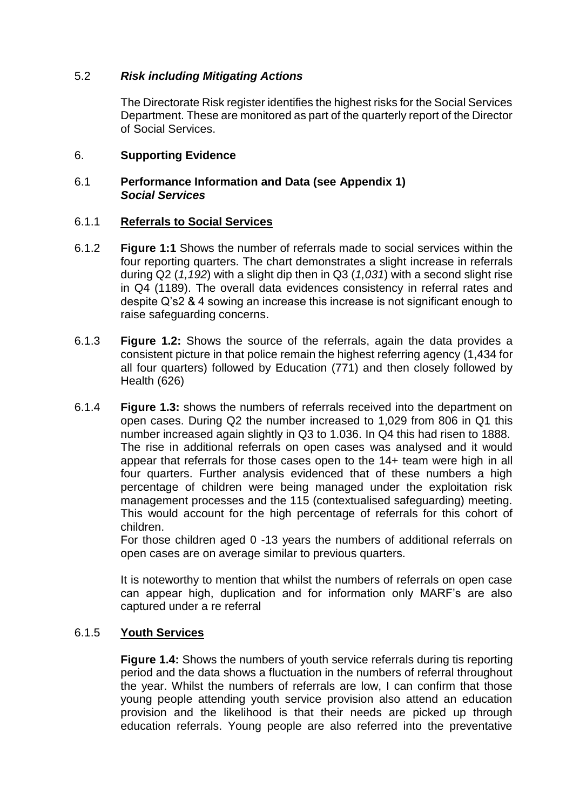# 5.2 *Risk including Mitigating Actions*

The Directorate Risk register identifies the highest risks for the Social Services Department. These are monitored as part of the quarterly report of the Director of Social Services.

#### 6. **Supporting Evidence**

### 6.1 **Performance Information and Data (see Appendix 1)** *Social Services*

#### 6.1.1 **Referrals to Social Services**

- 6.1.2 **Figure 1:1** Shows the number of referrals made to social services within the four reporting quarters. The chart demonstrates a slight increase in referrals during Q2 (*1,192*) with a slight dip then in Q3 (*1,031*) with a second slight rise in Q4 (1189). The overall data evidences consistency in referral rates and despite Q's2 & 4 sowing an increase this increase is not significant enough to raise safeguarding concerns.
- 6.1.3 **Figure 1.2:** Shows the source of the referrals, again the data provides a consistent picture in that police remain the highest referring agency (1,434 for all four quarters) followed by Education (771) and then closely followed by Health (626)
- 6.1.4 **Figure 1.3:** shows the numbers of referrals received into the department on open cases. During Q2 the number increased to 1,029 from 806 in Q1 this number increased again slightly in Q3 to 1.036. In Q4 this had risen to 1888. The rise in additional referrals on open cases was analysed and it would appear that referrals for those cases open to the 14+ team were high in all four quarters. Further analysis evidenced that of these numbers a high percentage of children were being managed under the exploitation risk management processes and the 115 (contextualised safeguarding) meeting. This would account for the high percentage of referrals for this cohort of children.

For those children aged 0 -13 years the numbers of additional referrals on open cases are on average similar to previous quarters.

It is noteworthy to mention that whilst the numbers of referrals on open case can appear high, duplication and for information only MARF's are also captured under a re referral

#### 6.1.5 **Youth Services**

**Figure 1.4:** Shows the numbers of youth service referrals during tis reporting period and the data shows a fluctuation in the numbers of referral throughout the year. Whilst the numbers of referrals are low, I can confirm that those young people attending youth service provision also attend an education provision and the likelihood is that their needs are picked up through education referrals. Young people are also referred into the preventative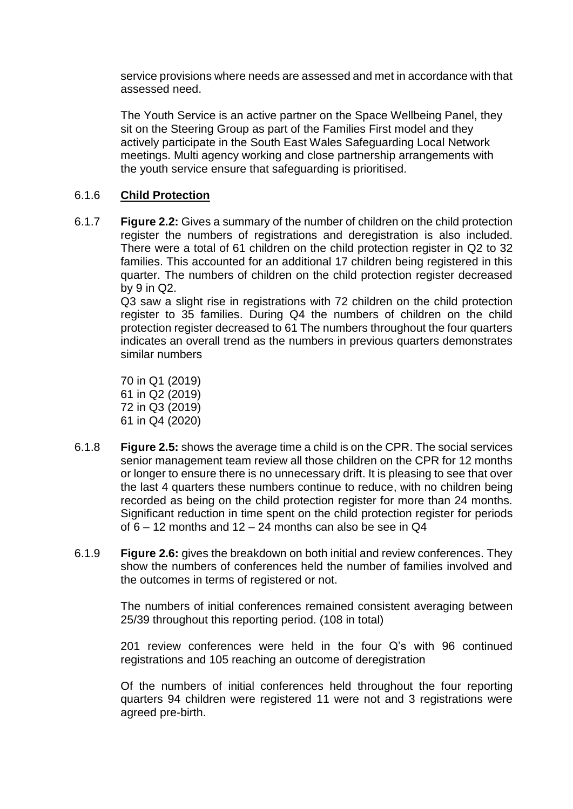service provisions where needs are assessed and met in accordance with that assessed need.

The Youth Service is an active partner on the Space Wellbeing Panel, they sit on the Steering Group as part of the Families First model and they actively participate in the South East Wales Safeguarding Local Network meetings. Multi agency working and close partnership arrangements with the youth service ensure that safeguarding is prioritised.

#### 6.1.6 **Child Protection**

6.1.7 **Figure 2.2:** Gives a summary of the number of children on the child protection register the numbers of registrations and deregistration is also included. There were a total of 61 children on the child protection register in Q2 to 32 families. This accounted for an additional 17 children being registered in this quarter. The numbers of children on the child protection register decreased by 9 in Q2.

Q3 saw a slight rise in registrations with 72 children on the child protection register to 35 families. During Q4 the numbers of children on the child protection register decreased to 61 The numbers throughout the four quarters indicates an overall trend as the numbers in previous quarters demonstrates similar numbers

 in Q1 (2019) in Q2 (2019) in Q3 (2019) 61 in Q4 (2020)

- 6.1.8 **Figure 2.5:** shows the average time a child is on the CPR. The social services senior management team review all those children on the CPR for 12 months or longer to ensure there is no unnecessary drift. It is pleasing to see that over the last 4 quarters these numbers continue to reduce, with no children being recorded as being on the child protection register for more than 24 months. Significant reduction in time spent on the child protection register for periods of  $6 - 12$  months and  $12 - 24$  months can also be see in Q4
- 6.1.9 **Figure 2.6:** gives the breakdown on both initial and review conferences. They show the numbers of conferences held the number of families involved and the outcomes in terms of registered or not.

The numbers of initial conferences remained consistent averaging between 25/39 throughout this reporting period. (108 in total)

201 review conferences were held in the four Q's with 96 continued registrations and 105 reaching an outcome of deregistration

Of the numbers of initial conferences held throughout the four reporting quarters 94 children were registered 11 were not and 3 registrations were agreed pre-birth.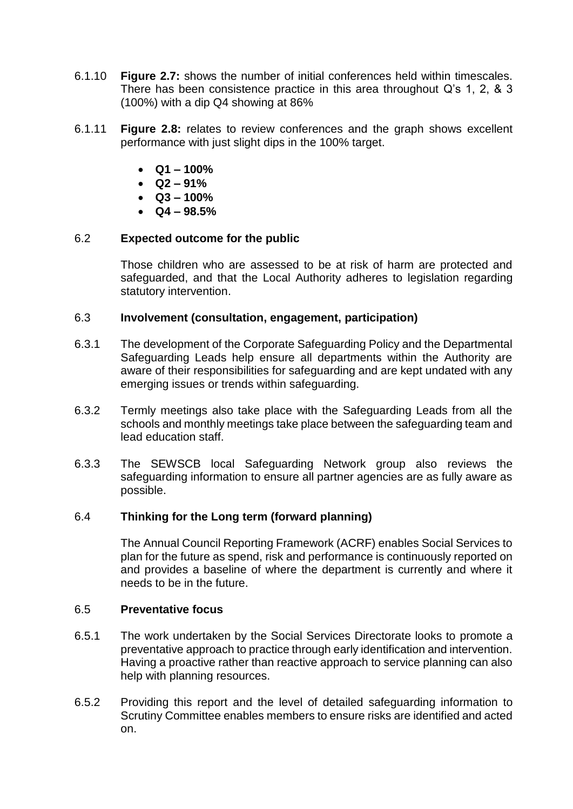- 6.1.10 **Figure 2.7:** shows the number of initial conferences held within timescales. There has been consistence practice in this area throughout Q's 1, 2, & 3 (100%) with a dip Q4 showing at 86%
- 6.1.11 **Figure 2.8:** relates to review conferences and the graph shows excellent performance with just slight dips in the 100% target.
	- **Q1 – 100%**
	- **Q2 – 91%**
	- $\bullet$   $\cdot$  Q<sub>3</sub> 100%
	- **Q4 – 98.5%**

#### 6.2 **Expected outcome for the public**

Those children who are assessed to be at risk of harm are protected and safeguarded, and that the Local Authority adheres to legislation regarding statutory intervention.

#### 6.3 **Involvement (consultation, engagement, participation)**

- 6.3.1 The development of the Corporate Safeguarding Policy and the Departmental Safeguarding Leads help ensure all departments within the Authority are aware of their responsibilities for safeguarding and are kept undated with any emerging issues or trends within safeguarding.
- 6.3.2 Termly meetings also take place with the Safeguarding Leads from all the schools and monthly meetings take place between the safeguarding team and lead education staff.
- 6.3.3 The SEWSCB local Safeguarding Network group also reviews the safeguarding information to ensure all partner agencies are as fully aware as possible.

#### 6.4 **Thinking for the Long term (forward planning)**

The Annual Council Reporting Framework (ACRF) enables Social Services to plan for the future as spend, risk and performance is continuously reported on and provides a baseline of where the department is currently and where it needs to be in the future.

#### 6.5 **Preventative focus**

- 6.5.1 The work undertaken by the Social Services Directorate looks to promote a preventative approach to practice through early identification and intervention. Having a proactive rather than reactive approach to service planning can also help with planning resources.
- 6.5.2 Providing this report and the level of detailed safeguarding information to Scrutiny Committee enables members to ensure risks are identified and acted on.